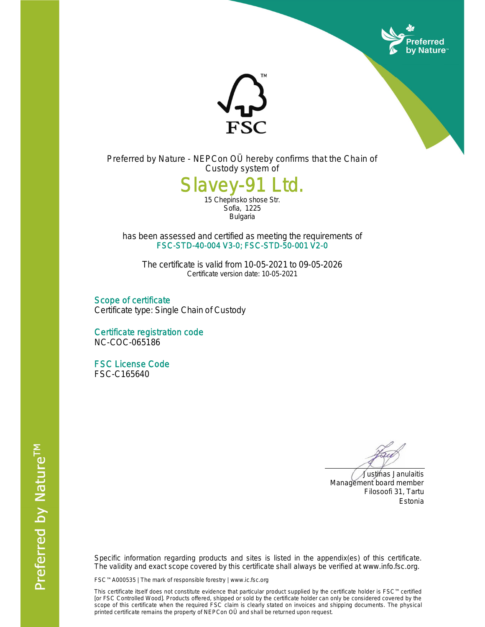



Preferred by Nature - NEPCon OÜ hereby confirms that the Chain of Custody system of

## Slavey-91 Ltd.

15 Chepinsko shose Str. Sofia, 1225 Bulgaria

has been assessed and certified as meeting the requirements of FSC-STD-40-004 V3-0; FSC-STD-50-001 V2-0

The certificate is valid from 10-05-2021 to 09-05-2026 Certificate version date: 10-05-2021

Scope of certificate Certificate type: Single Chain of Custody

Certificate registration code NC-COC-065186

FSC License Code FSC-C165640

 Justinas Janulaitis Management board member Filosoofi 31, Tartu Estonia

Specific information regarding products and sites is listed in the appendix(es) of this certificate. The validity and exact scope covered by this certificate shall always be verified at www.info.fsc.org.

FSC™ A000535 | The mark of responsible forestry | www.ic.fsc.org

This certificate itself does not constitute evidence that particular product supplied by the certificate holder is FSC™ certified [or FSC Controlled Wood]. Products offered, shipped or sold by the certificate holder can only be considered covered by the scope of this certificate when the required FSC claim is clearly stated on invoices and shipping documents. The physical printed certificate remains the property of NEPCon OÜ and shall be returned upon request.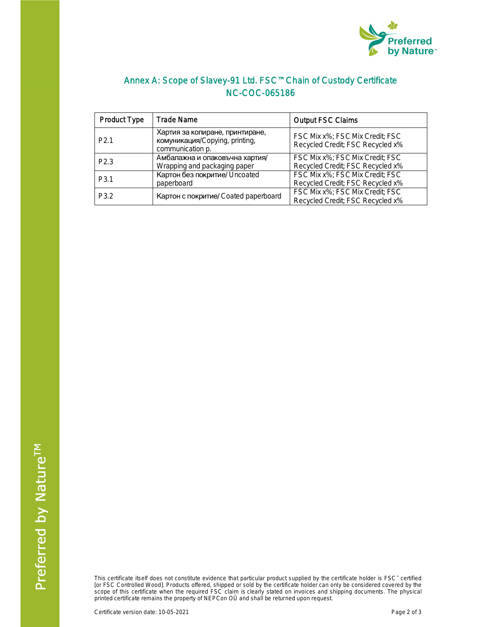

## Annex A: Scope of Slavey-91 Ltd. FSC™ Chain of Custody Certificate NC-COC-065186

| <b>Product Type</b> | <b>Trade Name</b>                                                                                           | <b>Output FSC Claims</b>                                            |  |
|---------------------|-------------------------------------------------------------------------------------------------------------|---------------------------------------------------------------------|--|
| P <sub>2.1</sub>    | Хартия за копиране, принтиране,<br>комуникация/Copying, printing,<br>communication p.                       | FSC Mix x%; FSC Mix Credit; FSC<br>Recycled Credit; FSC Recycled x% |  |
| P <sub>2.3</sub>    | Амбалажна и опаковъчна хартия/<br>Wrapping and packaging paper                                              | FSC Mix x%; FSC Mix Credit; FSC<br>Recycled Credit; FSC Recycled x% |  |
| P <sub>3.1</sub>    | Картон без покритие/ Uncoated<br>paperboard                                                                 | FSC Mix x%; FSC Mix Credit; FSC<br>Recycled Credit; FSC Recycled x% |  |
| P <sub>3.2</sub>    | FSC Mix x%; FSC Mix Credit; FSC<br>Картон с покритие/ Coated paperboard<br>Recycled Credit; FSC Recycled x% |                                                                     |  |

This certificate itself does not constitute evidence that particular product supplied by the certificate holder is FSC™ certified [or FSC Controlled Wood]. Products offered, shipped or sold by the certificate holder can only be considered covered by the scope of this certificate when the required FSC claim is clearly stated on invoices and shipping documents. The physical printed certificate remains the property of NEPCon OÜ and shall be returned upon request.